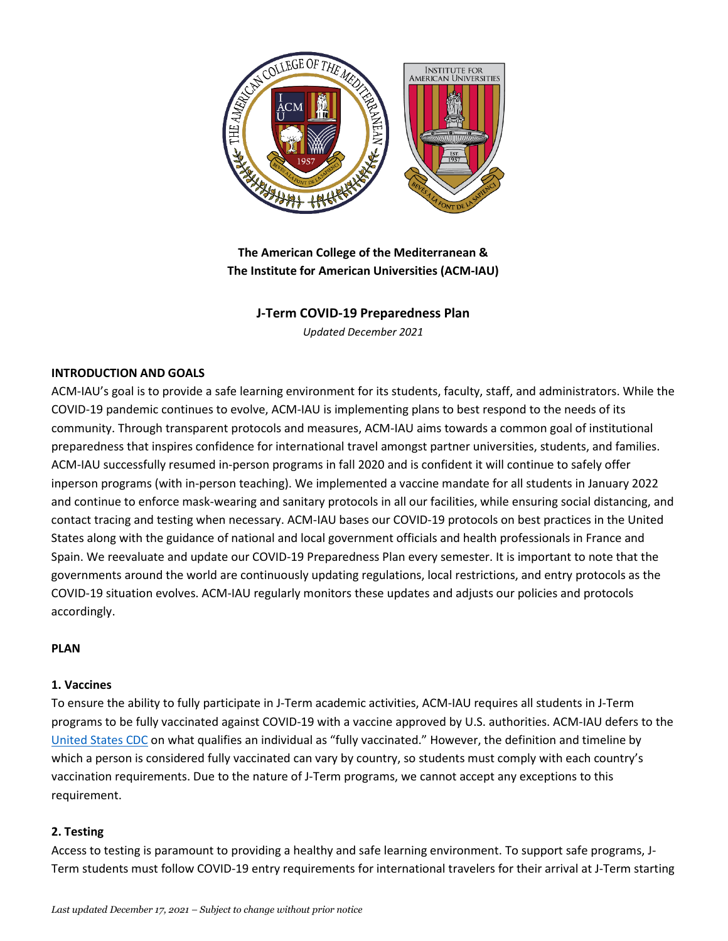

**The American College of the Mediterranean & The Institute for American Universities (ACM-IAU)**

## **J-Term COVID-19 Preparedness Plan**

*Updated December 2021*

### **INTRODUCTION AND GOALS**

ACM-IAU's goal is to provide a safe learning environment for its students, faculty, staff, and administrators. While the COVID-19 pandemic continues to evolve, ACM-IAU is implementing plans to best respond to the needs of its community. Through transparent protocols and measures, ACM-IAU aims towards a common goal of institutional preparedness that inspires confidence for international travel amongst partner universities, students, and families. ACM-IAU successfully resumed in-person programs in fall 2020 and is confident it will continue to safely offer inperson programs (with in-person teaching). We implemented a vaccine mandate for all students in January 2022 and continue to enforce mask-wearing and sanitary protocols in all our facilities, while ensuring social distancing, and contact tracing and testing when necessary. ACM-IAU bases our COVID-19 protocols on best practices in the United States along with the guidance of national and local government officials and health professionals in France and Spain. We reevaluate and update our COVID-19 Preparedness Plan every semester. It is important to note that the governments around the world are continuously updating regulations, local restrictions, and entry protocols as the COVID-19 situation evolves. ACM-IAU regularly monitors these updates and adjusts our policies and protocols accordingly.

#### **PLAN**

### **1. Vaccines**

To ensure the ability to fully participate in J-Term academic activities, ACM-IAU requires all students in J-Term programs to be fully vaccinated against COVID-19 with a vaccine approved by U.S. authorities. ACM-IAU defers to the [United States CDC](https://www.cdc.gov/coronavirus/2019-ncov/vaccines/fully-vaccinated.html) on what qualifies an individual as "fully vaccinated." However, the definition and timeline by which a person is considered fully vaccinated can vary by country, so students must comply with each country's vaccination requirements. Due to the nature of J-Term programs, we cannot accept any exceptions to this requirement.

### **2. Testing**

Access to testing is paramount to providing a healthy and safe learning environment. To support safe programs, J-Term students must follow COVID-19 entry requirements for international travelers for their arrival at J-Term starting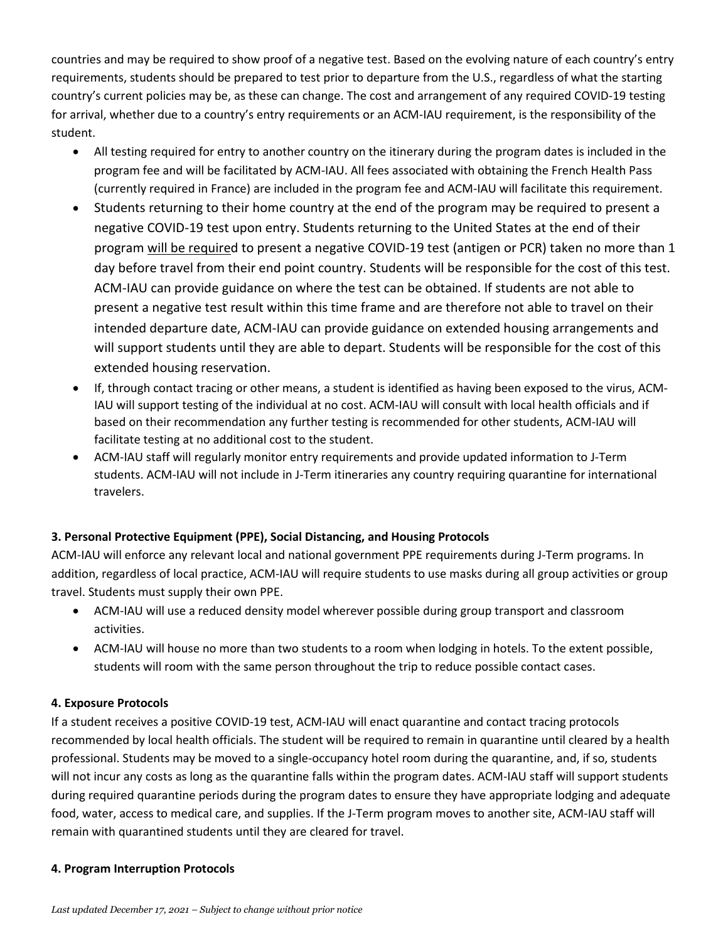countries and may be required to show proof of a negative test. Based on the evolving nature of each country's entry requirements, students should be prepared to test prior to departure from the U.S., regardless of what the starting country's current policies may be, as these can change. The cost and arrangement of any required COVID-19 testing for arrival, whether due to a country's entry requirements or an ACM-IAU requirement, is the responsibility of the student.

- All testing required for entry to another country on the itinerary during the program dates is included in the program fee and will be facilitated by ACM-IAU. All fees associated with obtaining the French Health Pass (currently required in France) are included in the program fee and ACM-IAU will facilitate this requirement.
- Students returning to their home country at the end of the program may be required to present a negative COVID-19 test upon entry. Students returning to the United States at the end of their program will be required to present a negative COVID-19 test (antigen or PCR) taken no more than 1 day before travel from their end point country. Students will be responsible for the cost of this test. ACM-IAU can provide guidance on where the test can be obtained. If students are not able to present a negative test result within this time frame and are therefore not able to travel on their intended departure date, ACM-IAU can provide guidance on extended housing arrangements and will support students until they are able to depart. Students will be responsible for the cost of this extended housing reservation.
- If, through contact tracing or other means, a student is identified as having been exposed to the virus, ACM-IAU will support testing of the individual at no cost. ACM-IAU will consult with local health officials and if based on their recommendation any further testing is recommended for other students, ACM-IAU will facilitate testing at no additional cost to the student.
- ACM-IAU staff will regularly monitor entry requirements and provide updated information to J-Term students. ACM-IAU will not include in J-Term itineraries any country requiring quarantine for international travelers.

## **3. Personal Protective Equipment (PPE), Social Distancing, and Housing Protocols**

ACM-IAU will enforce any relevant local and national government PPE requirements during J-Term programs. In addition, regardless of local practice, ACM-IAU will require students to use masks during all group activities or group travel. Students must supply their own PPE.

- ACM-IAU will use a reduced density model wherever possible during group transport and classroom activities.
- ACM-IAU will house no more than two students to a room when lodging in hotels. To the extent possible, students will room with the same person throughout the trip to reduce possible contact cases.

### **4. Exposure Protocols**

If a student receives a positive COVID-19 test, ACM-IAU will enact quarantine and contact tracing protocols recommended by local health officials. The student will be required to remain in quarantine until cleared by a health professional. Students may be moved to a single-occupancy hotel room during the quarantine, and, if so, students will not incur any costs as long as the quarantine falls within the program dates. ACM-IAU staff will support students during required quarantine periods during the program dates to ensure they have appropriate lodging and adequate food, water, access to medical care, and supplies. If the J-Term program moves to another site, ACM-IAU staff will remain with quarantined students until they are cleared for travel.

### **4. Program Interruption Protocols**